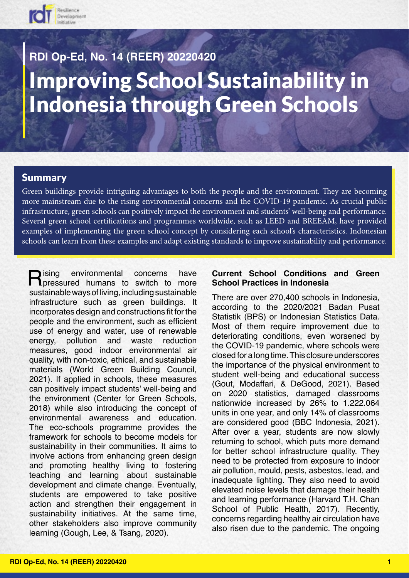

# Improving School Sustainability in Indonesia through Green Schools **RDI Op-Ed, No. 14 (REER) 20220420**

#### Summary

Green buildings provide intriguing advantages to both the people and the environment. They are becoming more mainstream due to the rising environmental concerns and the COVID-19 pandemic. As crucial public infrastructure, green schools can positively impact the environment and students' well-being and performance. Several green school certifications and programmes worldwide, such as LEED and BREEAM, have provided examples of implementing the green school concept by considering each school's characteristics. Indonesian schools can learn from these examples and adapt existing standards to improve sustainability and performance.

**Participana in the Pressured humans to switch to more**<br>
pressured humans to switch to more sustainable ways of living, including sustainable infrastructure such as green buildings. It incorporates design and constructions fit for the people and the environment, such as efficient use of energy and water, use of renewable energy, pollution and waste reduction measures, good indoor environmental air quality, with non-toxic, ethical, and sustainable materials (World Green Building Council, 2021). If applied in schools, these measures can positively impact students' well-being and the environment (Center for Green Schools, 2018) while also introducing the concept of environmental awareness and education. The eco-schools programme provides the framework for schools to become models for sustainability in their communities. It aims to involve actions from enhancing green design and promoting healthy living to fostering teaching and learning about sustainable development and climate change. Eventually, students are empowered to take positive action and strengthen their engagement in sustainability initiatives. At the same time, other stakeholders also improve community learning (Gough, Lee, & Tsang, 2020).

#### **Current School Conditions and Green School Practices in Indonesia**

There are over 270,400 schools in Indonesia, according to the 2020/2021 Badan Pusat Statistik (BPS) or Indonesian Statistics Data. Most of them require improvement due to deteriorating conditions, even worsened by the COVID-19 pandemic, where schools were closed for a long time. This closure underscores the importance of the physical environment to student well-being and educational success (Gout, Modaffari, & DeGood, 2021). Based on 2020 statistics, damaged classrooms nationwide increased by 26% to 1.222.064 units in one year, and only 14% of classrooms are considered good (BBC Indonesia, 2021). After over a year, students are now slowly returning to school, which puts more demand for better school infrastructure quality. They need to be protected from exposure to indoor air pollution, mould, pests, asbestos, lead, and inadequate lighting. They also need to avoid elevated noise levels that damage their health and learning performance (Harvard T.H. Chan School of Public Health, 2017). Recently, concerns regarding healthy air circulation have also risen due to the pandemic. The ongoing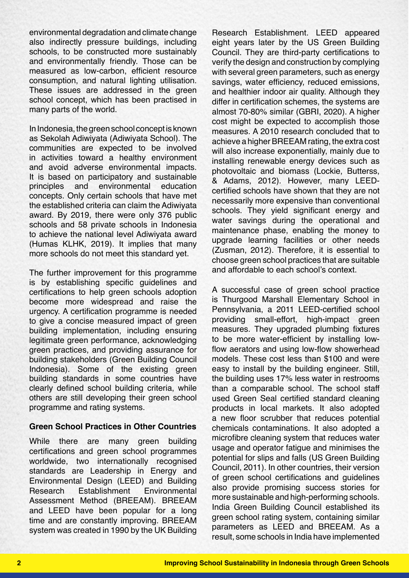environmental degradation and climate change also indirectly pressure buildings, including schools, to be constructed more sustainably and environmentally friendly. Those can be measured as low-carbon, efficient resource consumption, and natural lighting utilisation. These issues are addressed in the green school concept, which has been practised in many parts of the world.

In Indonesia, the green school concept is known as Sekolah Adiwiyata (Adiwiyata School). The communities are expected to be involved in activities toward a healthy environment and avoid adverse environmental impacts. It is based on participatory and sustainable principles and environmental education concepts. Only certain schools that have met the established criteria can claim the Adiwiyata award. By 2019, there were only 376 public schools and 58 private schools in Indonesia to achieve the national level Adiwiyata award (Humas KLHK, 2019). It implies that many more schools do not meet this standard yet.

The further improvement for this programme is by establishing specific guidelines and certifications to help green schools adoption become more widespread and raise the urgency. A certification programme is needed to give a concise measured impact of green building implementation, including ensuring legitimate green performance, acknowledging green practices, and providing assurance for building stakeholders (Green Building Council Indonesia). Some of the existing green building standards in some countries have clearly defined school building criteria, while others are still developing their green school programme and rating systems.

#### **Green School Practices in Other Countries**

While there are many green building certifications and green school programmes worldwide, two internationally recognised standards are Leadership in Energy and Environmental Design (LEED) and Building Research Establishment Environmental Assessment Method (BREEAM). BREEAM and LEED have been popular for a long time and are constantly improving. BREEAM system was created in 1990 by the UK Building

Research Establishment. LEED appeared eight years later by the US Green Building Council. They are third-party certifications to verify the design and construction by complying with several green parameters, such as energy savings, water efficiency, reduced emissions, and healthier indoor air quality. Although they differ in certification schemes, the systems are almost 70-80% similar (GBRI, 2020). A higher cost might be expected to accomplish those measures. A 2010 research concluded that to achieve a higher BREEAM rating, the extra cost will also increase exponentially, mainly due to installing renewable energy devices such as photovoltaic and biomass (Lockie, Butterss, & Adams, 2012). However, many LEEDcertified schools have shown that they are not necessarily more expensive than conventional schools. They yield significant energy and water savings during the operational and maintenance phase, enabling the money to upgrade learning facilities or other needs (Zusman, 2012). Therefore, it is essential to choose green school practices that are suitable and affordable to each school's context.

A successful case of green school practice is Thurgood Marshall Elementary School in Pennsylvania, a 2011 LEED-certified school providing small-effort, high-impact green measures. They upgraded plumbing fixtures to be more water-efficient by installing lowflow aerators and using low-flow showerhead models. These cost less than \$100 and were easy to install by the building engineer. Still, the building uses 17% less water in restrooms than a comparable school. The school staff used Green Seal certified standard cleaning products in local markets. It also adopted a new floor scrubber that reduces potential chemicals contaminations. It also adopted a microfibre cleaning system that reduces water usage and operator fatigue and minimises the potential for slips and falls (US Green Building Council, 2011). In other countries, their version of green school certifications and guidelines also provide promising success stories for more sustainable and high-performing schools. India Green Building Council established its green school rating system, containing similar parameters as LEED and BREEAM. As a result, some schools in India have implemented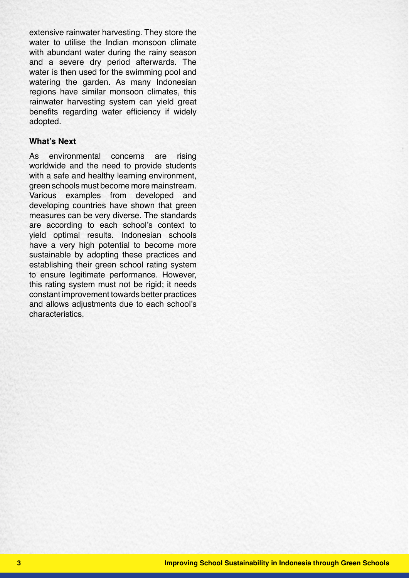extensive rainwater harvesting. They store the water to utilise the Indian monsoon climate with abundant water during the rainy season and a severe dry period afterwards. The water is then used for the swimming pool and watering the garden. As many Indonesian regions have similar monsoon climates, this rainwater harvesting system can yield great benefits regarding water efficiency if widely adopted.

#### **What's Next**

As environmental concerns are rising worldwide and the need to provide students with a safe and healthy learning environment, green schools must become more mainstream. Various examples from developed and developing countries have shown that green measures can be very diverse. The standards are according to each school's context to yield optimal results. Indonesian schools have a very high potential to become more sustainable by adopting these practices and establishing their green school rating system to ensure legitimate performance. However, this rating system must not be rigid; it needs constant improvement towards better practices and allows adjustments due to each school's characteristics.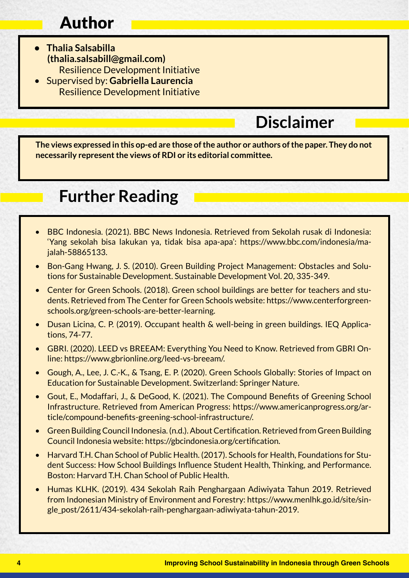# Author

- **• Thalia Salsabilla (thalia.salsabill@gmail.com)** Resilience Development Initiative
- Supervised by: **Gabriella Laurencia** Resilience Development Initiative

## **Disclaimer**

**The views expressed in this op-ed are those of the author or authors of the paper. They do not necessarily represent the views of RDI or its editorial committee.**

### **Further Reading**

- BBC Indonesia. (2021). BBC News Indonesia. Retrieved from Sekolah rusak di Indonesia: 'Yang sekolah bisa lakukan ya, tidak bisa apa-apa': https://www.bbc.com/indonesia/majalah-58865133.
- Bon-Gang Hwang, J. S. (2010). Green Building Project Management: Obstacles and Solutions for Sustainable Development. Sustainable Development Vol. 20, 335-349.
- Center for Green Schools. (2018). Green school buildings are better for teachers and students. Retrieved from The Center for Green Schools website: https://www.centerforgreenschools.org/green-schools-are-better-learning.
- Dusan Licina, C. P. (2019). Occupant health & well-being in green buildings. IEQ Applications, 74-77.
- GBRI. (2020). LEED vs BREEAM: Everything You Need to Know. Retrieved from GBRI Online: https://www.gbrionline.org/leed-vs-breeam/.
- Gough, A., Lee, J. C.-K., & Tsang, E. P. (2020). Green Schools Globally: Stories of Impact on Education for Sustainable Development. Switzerland: Springer Nature.
- Gout, E., Modaffari, J., & DeGood, K. (2021). The Compound Benefits of Greening School Infrastructure. Retrieved from American Progress: https://www.americanprogress.org/article/compound-benefits-greening-school-infrastructure/.
- Green Building Council Indonesia. (n.d.). About Certification. Retrieved from Green Building Council Indonesia website: https://gbcindonesia.org/certification.
- Harvard T.H. Chan School of Public Health. (2017). Schools for Health, Foundations for Student Success: How School Buildings Influence Student Health, Thinking, and Performance. Boston: Harvard T.H. Chan School of Public Health.
- Humas KLHK. (2019). 434 Sekolah Raih Penghargaan Adiwiyata Tahun 2019. Retrieved from Indonesian Ministry of Environment and Forestry: https://www.menlhk.go.id/site/single\_post/2611/434-sekolah-raih-penghargaan-adiwiyata-tahun-2019.